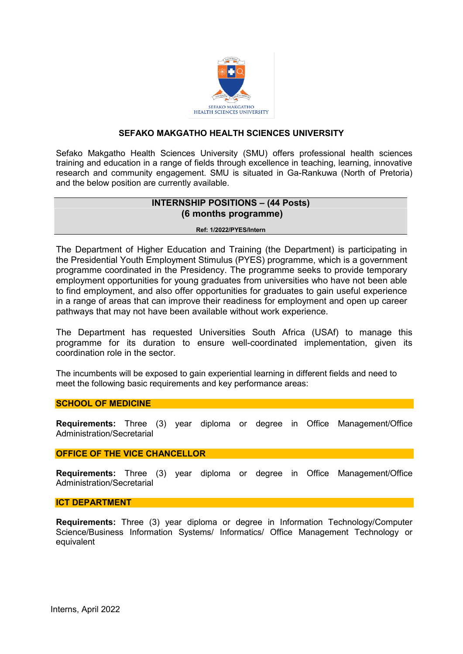

## **SEFAKO MAKGATHO HEALTH SCIENCES UNIVERSITY**

Sefako Makgatho Health Sciences University (SMU) offers professional health sciences training and education in a range of fields through excellence in teaching, learning, innovative research and community engagement. SMU is situated in Ga-Rankuwa (North of Pretoria) and the below position are currently available.

# **INTERNSHIP POSITIONS – (44 Posts) (6 months programme)**

#### **Ref: 1/2022/PYES/Intern**

The Department of Higher Education and Training (the Department) is participating in the Presidential Youth Employment Stimulus (PYES) programme, which is a government programme coordinated in the Presidency. The programme seeks to provide temporary employment opportunities for young graduates from universities who have not been able to find employment, and also offer opportunities for graduates to gain useful experience in a range of areas that can improve their readiness for employment and open up career pathways that may not have been available without work experience.

The Department has requested Universities South Africa (USAf) to manage this programme for its duration to ensure well-coordinated implementation, given its coordination role in the sector.

The incumbents will be exposed to gain experiential learning in different fields and need to meet the following basic requirements and key performance areas:

### **SCHOOL OF MEDICINE**

**Requirements:** Three (3) year diploma or degree in Office Management/Office Administration/Secretarial

### **OFFICE OF THE VICE CHANCELLOR**

**Requirements:** Three (3) year diploma or degree in Office Management/Office Administration/Secretarial

#### **ICT DEPARTMENT**

**Requirements:** Three (3) year diploma or degree in Information Technology/Computer Science/Business Information Systems/ Informatics/ Office Management Technology or equivalent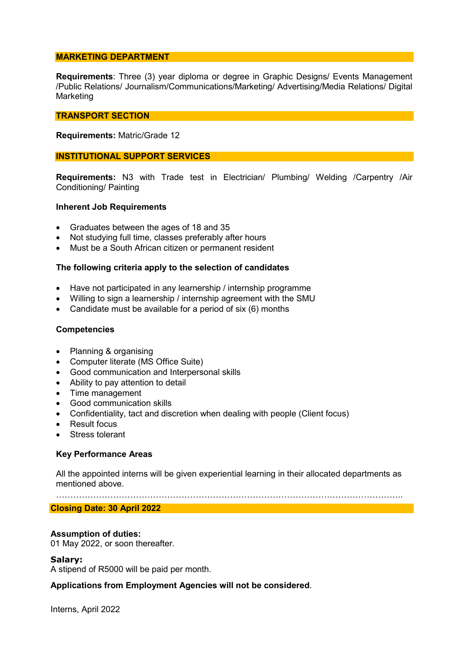#### **MARKETING DEPARTMENT**

**Requirements**: Three (3) year diploma or degree in Graphic Designs/ Events Management /Public Relations/ Journalism/Communications/Marketing/ Advertising/Media Relations/ Digital Marketing

#### **TRANSPORT SECTION**

#### **Requirements:** Matric/Grade 12

#### **INSTITUTIONAL SUPPORT SERVICES**

**Requirements:** N3 with Trade test in Electrician/ Plumbing/ Welding /Carpentry /Air Conditioning/ Painting

#### **Inherent Job Requirements**

- Graduates between the ages of 18 and 35
- Not studying full time, classes preferably after hours
- Must be a South African citizen or permanent resident

### **The following criteria apply to the selection of candidates**

- Have not participated in any learnership / internship programme
- Willing to sign a learnership / internship agreement with the SMU
- Candidate must be available for a period of six (6) months

#### **Competencies**

- Planning & organising
- Computer literate (MS Office Suite)
- Good communication and Interpersonal skills
- Ability to pay attention to detail
- Time management
- Good communication skills
- Confidentiality, tact and discretion when dealing with people (Client focus)
- Result focus
- Stress tolerant

### **Key Performance Areas**

All the appointed interns will be given experiential learning in their allocated departments as mentioned above.

…………………………………………………………………………………………………………..

#### **Closing Date: 30 April 2022**

### **Assumption of duties:**

01 May 2022, or soon thereafter.

#### **Salary:**

A stipend of R5000 will be paid per month.

### **Applications from Employment Agencies will not be considered**.

Interns, April 2022